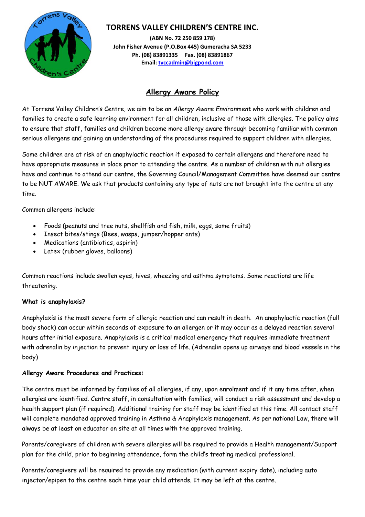

## **TORRENS VALLEY CHILDREN'S CENTRE INC.**

**(ABN No. 72 250 859 178) John Fisher Avenue (P.O.Box 445) Gumeracha SA 5233 Ph. (08) 83891335 Fax. (08) 83891867 Email: tvccadmin@bigpond.com** 

# **Allergy Aware Policy**

At Torrens Valley Children's Centre, we aim to be an *Allergy Aware Environment* who work with children and families to create a safe learning environment for all children, inclusive of those with allergies. The policy aims to ensure that staff, families and children become more allergy aware through becoming familiar with common serious allergens and gaining an understanding of the procedures required to support children with allergies.

Some children are at risk of an anaphylactic reaction if exposed to certain allergens and therefore need to have appropriate measures in place prior to attending the centre. As a number of children with nut allergies have and continue to attend our centre, the Governing Council/Management Committee have deemed our centre to be NUT AWARE. We ask that products containing any type of nuts are not brought into the centre at any time.

Common allergens include:

- Foods (peanuts and tree nuts, shellfish and fish, milk, eggs, some fruits)
- Insect bites/stings (Bees, wasps, jumper/hopper ants)
- Medications (antibiotics, aspirin)
- Latex (rubber gloves, balloons)

Common reactions include swollen eyes, hives, wheezing and asthma symptoms. Some reactions are life threatening.

## **What is anaphylaxis?**

Anaphylaxis is the most severe form of allergic reaction and can result in death. An anaphylactic reaction (full body shock) can occur within seconds of exposure to an allergen or it may occur as a delayed reaction several hours after initial exposure. Anaphylaxis is a critical medical emergency that requires immediate treatment with adrenalin by injection to prevent injury or loss of life. (Adrenalin opens up airways and blood vessels in the body)

### **Allergy Aware Procedures and Practices:**

The centre must be informed by families of all allergies, if any, upon enrolment and if it any time after, when allergies are identified. Centre staff, in consultation with families, will conduct a risk assessment and develop a health support plan (if required). Additional training for staff may be identified at this time. All contact staff will complete mandated approved training in Asthma & Anaphylaxis management. As per national Law, there will always be at least on educator on site at all times with the approved training.

Parents/caregivers of children with severe allergies will be required to provide a Health management/Support plan for the child, prior to beginning attendance, form the child's treating medical professional.

Parents/caregivers will be required to provide any medication (with current expiry date), including auto injector/epipen to the centre each time your child attends. It may be left at the centre.